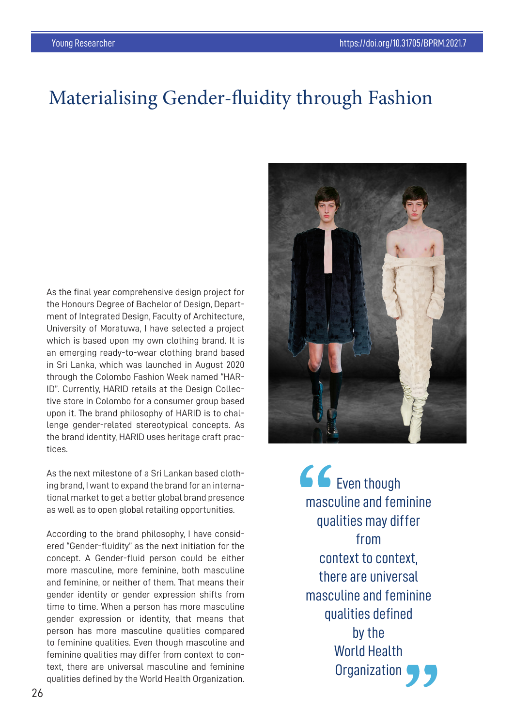## Materialising Gender-fluidity through Fashion

As the final year comprehensive design project for the Honours Degree of Bachelor of Design, Department of Integrated Design, Faculty of Architecture, University of Moratuwa, I have selected a project which is based upon my own clothing brand. It is an emerging ready-to-wear clothing brand based in Sri Lanka, which was launched in August 2020 through the Colombo Fashion Week named "HAR-ID". Currently, HARID retails at the Design Collective store in Colombo for a consumer group based upon it. The brand philosophy of HARID is to challenge gender-related stereotypical concepts. As the brand identity, HARID uses heritage craft practices.

As the next milestone of a Sri Lankan based clothing brand, I want to expand the brand for an international market to get a better global brand presence as well as to open global retailing opportunities.

According to the brand philosophy, I have considered "Gender-fluidity" as the next initiation for the concept. A Gender-fluid person could be either more masculine, more feminine, both masculine and feminine, or neither of them. That means their gender identity or gender expression shifts from time to time. When a person has more masculine gender expression or identity, that means that person has more masculine qualities compared to feminine qualities. Even though masculine and feminine qualities may differ from context to context, there are universal masculine and feminine qualities defined by the World Health Organization.



GG<sub>Even though</sub> masculine and feminine qualities may differ from context to context. there are universal masculine and feminine qualities defined by the World Health Organization